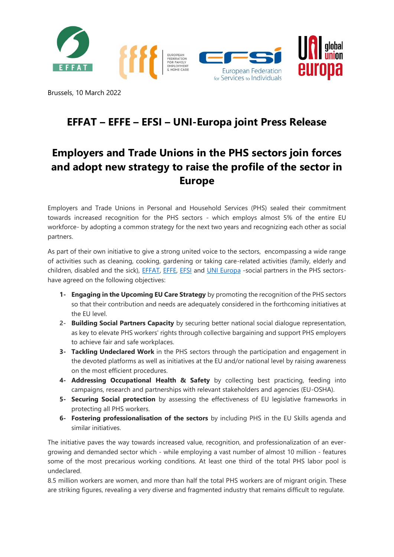

Brussels, 10 March 2022

## **EFFAT – EFFE – EFSI – UNI-Europa joint Press Release**

## **Employers and Trade Unions in the PHS sectors join forces and adopt new strategy to raise the profile of the sector in Europe**

Employers and Trade Unions in Personal and Household Services (PHS) sealed their commitment towards increased recognition for the PHS sectors - which employs almost 5% of the entire EU workforce- by adopting a common strategy for the next two years and recognizing each other as social partners.

As part of their own initiative to give a strong united voice to the sectors, encompassing a wide range of activities such as cleaning, cooking, gardening or taking care-related activities (family, elderly and children, disabled and the sick), [EFFAT,](http://www.effat.org/) [EFFE,](https://www.effe-homecare.eu/en/) [EFSI](http://efsi-europe.eu/home/) and [UNI Europa](https://www.uni-europa.org/) -social partners in the PHS sectorshave agreed on the following objectives:

- **1- Engaging in the Upcoming EU Care Strategy** by promoting the recognition of the PHS sectors so that their contribution and needs are adequately considered in the forthcoming initiatives at the EU level.
- **2- Building Social Partners Capacity** by securing better national social dialogue representation, as key to elevate PHS workers' rights through collective bargaining and support PHS employers to achieve fair and safe workplaces.
- **3- Tackling Undeclared Work** in the PHS sectors through the participation and engagement in the devoted platforms as well as initiatives at the EU and/or national level by raising awareness on the most efficient procedures.
- **4- Addressing Occupational Health & Safety** by collecting best practicing, feeding into campaigns, research and partnerships with relevant stakeholders and agencies (EU-OSHA).
- **5- Securing Social protection** by assessing the effectiveness of EU legislative frameworks in protecting all PHS workers.
- **6- Fostering professionalisation of the sectors** by including PHS in the EU Skills agenda and similar initiatives.

The initiative paves the way towards increased value, recognition, and professionalization of an evergrowing and demanded sector which - while employing a vast number of almost 10 million - features some of the most precarious working conditions. At least one third of the total PHS labor pool is undeclared.

8.5 million workers are women, and more than half the total PHS workers are of migrant origin. These are striking figures, revealing a very diverse and fragmented industry that remains difficult to regulate.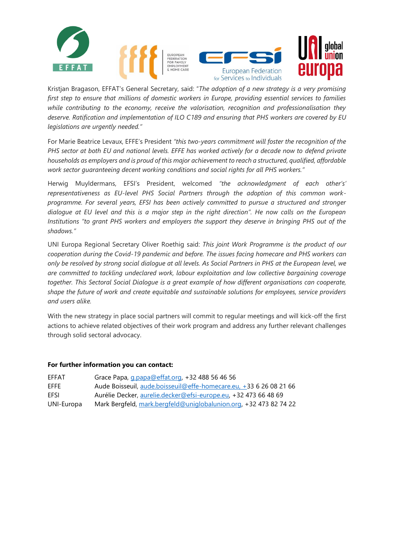

Kristjan Bragason, EFFAT's General Secretary, said: "*The adoption of a new strategy is a very promising first step to ensure that millions of domestic workers in Europe, providing essential services to families while contributing to the economy, receive the valorisation, recognition and professionalisation they deserve. Ratification and implementation of ILO C189 and ensuring that PHS workers are covered by EU legislations are urgently needed."*

For Marie Beatrice Levaux, EFFE's President *"this two-years commitment will foster the recognition of the PHS sector at both EU and national levels. EFFE has worked actively for a decade now to defend private households as employers and is proud of this major achievement to reach a structured, qualified, affordable work sector guaranteeing decent working conditions and social rights for all PHS workers."*

Herwig Muyldermans, EFSI's President, welcomed *"the acknowledgment of each other's' representativeness as EU-level PHS Social Partners through the adoption of this common workprogramme. For several years, EFSI has been actively committed to pursue a structured and stronger dialogue at EU level and this is a major step in the right direction". He now calls on the European Institutions "to grant PHS workers and employers the support they deserve in bringing PHS out of the shadows."*

UNI Europa Regional Secretary Oliver Roethig said: *This joint Work Programme is the product of our cooperation during the Covid-19 pandemic and before. The issues facing homecare and PHS workers can only be resolved by strong social dialogue at all levels. As Social Partners in PHS at the European level, we are committed to tackling undeclared work, labour exploitation and low collective bargaining coverage together. This Sectoral Social Dialogue is a great example of how different organisations can cooperate, shape the future of work and create equitable and sustainable solutions for employees, service providers and users alike.* 

With the new strategy in place social partners will commit to regular meetings and will kick-off the first actions to achieve related objectives of their work program and address any further relevant challenges through solid sectoral advocacy.

## **For further information you can contact:**

| <b>FFFAT</b> | Grace Papa, g.papa@effat.org, +32 488 56 46 56                     |
|--------------|--------------------------------------------------------------------|
| FFFF         | Aude Boisseuil, aude boisseuil@effe-homecare.eu, +33 6 26 08 21 66 |
| FFSI         | Aurélie Decker, aurelie.decker@efsi-europe.eu, +32 473 66 48 69    |
| UNI-Europa   | Mark Bergfeld, mark.bergfeld@uniglobalunion.org, +32 473 82 74 22  |